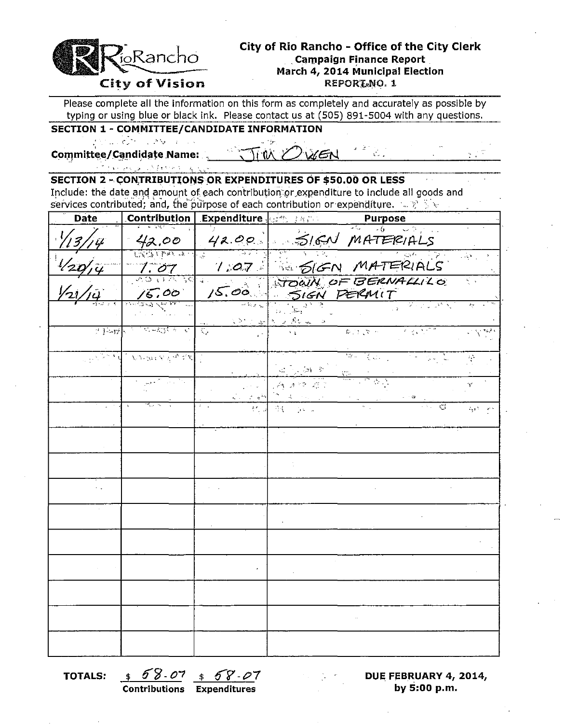

# **City of Rio Rancho· Office of the City Clerk Campaign Finance Report**<br>March 4, 2014 Municipal Election **City of Vision**  REPORT **REPORT**

Please complete all the information on this form as completely and accurately as possible by typing or using blue or black ink. Please contact us at (505) 891-5004 with any questions.

## **SECTION 1 - COMMITTEE/CANDIDATE INFORMATION**

Committee/Candidate Name: **With All the Vive of Second 1** 

,. -~ '-~,- ;

, where  $\mathcal{L} = \{ \mathcal{L}_1, \ldots, \mathcal{L}_n \}$  is the set of **SECTION 2 - CONTRIBUTIONS OR EXPENDITURES OF \$50.00 OR LESS** 

Include: the date and amount of each contribution or expenditure to include all goods and services contributed; and, the purpose of each contribution or expenditure.  $\mathbb{E} \times \mathbb{E}$ 

| <b>Date</b>        |                                                                                                      | Contribution Expenditure |                                                                   | and are parpose or each contribution or expensive $\mathbf{v} \in \mathbb{R}^{n \times n}$ |                                                                                          |
|--------------------|------------------------------------------------------------------------------------------------------|--------------------------|-------------------------------------------------------------------|--------------------------------------------------------------------------------------------|------------------------------------------------------------------------------------------|
|                    |                                                                                                      |                          |                                                                   | $rac{\text{Purpose}}{45 \rightarrow 0}$<br>42.00 42.00 SIGN MATERIALS                      |                                                                                          |
|                    |                                                                                                      |                          |                                                                   |                                                                                            | i ng                                                                                     |
|                    |                                                                                                      |                          |                                                                   |                                                                                            | Ę.                                                                                       |
|                    |                                                                                                      |                          | Robert James J. Robert J.                                         |                                                                                            |                                                                                          |
| $\mathbb{Z}$ ) and | ಸಂಕ್ಷಿಸುವು                                                                                           | $\overline{\mathbb{C}}$  |                                                                   | $C_{1,1,2}$<br><u>र इ.स.</u>                                                               |                                                                                          |
|                    | $\left[\mathcal{F}^{\text{tr,} \text{A}} \mathcal{F}, \mathcal{F}, \mathcal{H}, \mathcal{F} \right]$ |                          |                                                                   | $\mathbb{Z}_{\mathbb{Z}}$ .<br>ia.<br>Ngjarje                                              | $\frac{1}{2}$                                                                            |
|                    |                                                                                                      |                          | Salah Rojah Roja<br>Sejaran Rojah                                 |                                                                                            |                                                                                          |
|                    |                                                                                                      |                          | $\frac{8}{9}$ ( $\frac{4}{9}$ ) ( $\frac{1}{9}$ ) ( $\frac{1}{9}$ |                                                                                            | $\mathbb{Z}_{\frac{1}{2}}$ and $\mathbb{Z}_{\frac{1}{2}}$ and $\mathbb{Z}_{\frac{1}{2}}$ |
|                    |                                                                                                      |                          |                                                                   |                                                                                            |                                                                                          |
|                    |                                                                                                      |                          |                                                                   |                                                                                            |                                                                                          |
|                    |                                                                                                      |                          |                                                                   |                                                                                            |                                                                                          |
|                    |                                                                                                      |                          |                                                                   |                                                                                            |                                                                                          |
|                    |                                                                                                      |                          |                                                                   |                                                                                            |                                                                                          |
|                    |                                                                                                      |                          |                                                                   |                                                                                            |                                                                                          |
|                    |                                                                                                      |                          |                                                                   |                                                                                            |                                                                                          |
|                    |                                                                                                      |                          |                                                                   |                                                                                            |                                                                                          |
|                    |                                                                                                      |                          |                                                                   |                                                                                            |                                                                                          |

**TOTALS:**  $\frac{1}{2}$   $\frac{1}{2}$   $\frac{1}{2}$   $\frac{1}{2}$   $\frac{1}{2}$   $\frac{1}{2}$   $\frac{1}{2}$   $\frac{1}{2}$   $\frac{1}{2}$   $\frac{1}{2}$   $\frac{1}{2}$   $\frac{1}{2}$   $\frac{1}{2}$   $\frac{1}{2}$   $\frac{1}{2}$   $\frac{1}{2}$   $\frac{1}{2}$   $\frac{1}{2}$   $\frac{1}{2}$   $\frac{1}{2}$   $\frac{1}{2}$ 

**Contributions Expenditures by 5:00 p.m.**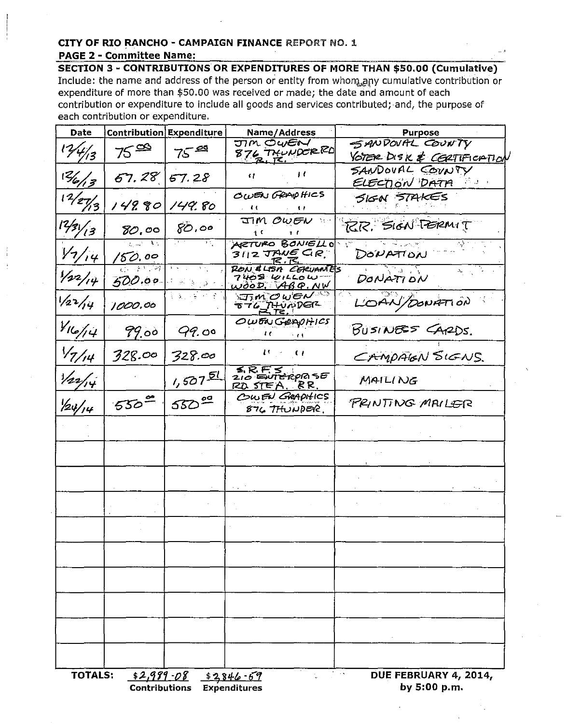### CITY OF RIO RANCHO - CAMPAIGN FINANCE REPORT NO. 1 **PAGE 2 - Committee Name:**

**SECTION 3 - CONTRIBUTIONS OR EXPENDITURES OF MORE THAN \$50.00 (Cumulative)** Include: the name and address of the person or entity from whom any cumulative contribution or expenditure of more than \$50.00 was received or made; the date and amount of each contribution or expenditure to include all goods and services contributed; and, the purpose of each contribution or expenditure.

| <b>Date</b>        | <b>Contribution Expenditure</b>                                                                |                                                                                                       | Name/Address                                                           | <b>Purpose</b>                                 |
|--------------------|------------------------------------------------------------------------------------------------|-------------------------------------------------------------------------------------------------------|------------------------------------------------------------------------|------------------------------------------------|
| 12/4/13            | $75^\infty$                                                                                    | $75^{\frac{28}{12}}$                                                                                  | TM OWEN<br>876 THUNDERRO                                               | SANDOVAL COUNTY<br>VOTER DISK & CERTIFICATION  |
| $\frac{2}{6}$      | 67.28                                                                                          | 57.28                                                                                                 | ΤC<br>11                                                               | SANDOVAL COVNTY<br>ELECTION DATA<br>in di ca   |
| 12/27/3            | 14280                                                                                          | 149.80                                                                                                | OWEN GRAPHICS<br>ふくする しょうしょう<br>$\sim 10^{-11}$ and $\sim 10^{-11}$    | SIGN STAKES                                    |
| 12/3/13            | 80,00                                                                                          | 80,00                                                                                                 | <b>JIM OWEN %</b><br>$\mathbf{t}$<br>$1 - 1$                           | RR. SIGN TERMIT                                |
| $V_7/74$           | '50.00                                                                                         | 大型                                                                                                    | <b>ARTURO BONIELLO</b><br>3112 JANE CIR<br>72, 74,                     | DONATION                                       |
| $\frac{1}{2}$      | $\overline{\mathbf{r}}$ , $\mathbf{r}$ , $\mathbf{r}$ , $\mathbf{r}$ , $\mathbf{r}$<br>500.00. | $\overline{A_{\alpha_1}A_{\alpha_2}A_{\alpha_3}A_{\alpha_4}A_{\alpha_5}A_{\alpha_6}}$<br>بري والأراجي | RON & LISA CERUMMES<br>$7408$ $W120W$<br>$w$ <sub>0</sub> 00. $ABQ.NW$ | DONATION                                       |
| $\frac{1}{2}$      | 1000.00                                                                                        | $\frac{1}{2}$ , $\frac{1}{2}$ , $\frac{1}{2}$ , $\frac{1}{2}$ , $\frac{1}{2}$ , $\frac{1}{2}$ ,       | ๖ธาค ๐๗๐๙<br>THUNDER                                                   | LOAN/DONATION                                  |
| $V_{ {C}/ {C} }$   | 99.00                                                                                          | 99.00                                                                                                 | OWENGERNHICS<br>"                                                      | BUSINESS CARDS.                                |
| $\frac{1}{2}}$     | 328.00                                                                                         | 328.00                                                                                                | $U_{\rm eff} = U$                                                      | CAMPAIGN SIGNS.                                |
| $\frac{1}{2}$      |                                                                                                | $1,507$ <u><math>51</math></u>                                                                        | $210$ ENTERPR SE<br>RD STEA. RR.                                       | MAILING                                        |
| $\frac{1}{24}$ /14 | 550                                                                                            | 55000                                                                                                 | COWEN GRAPHICS<br>$876$ THUNDER.                                       | PRINTING MAILER                                |
|                    |                                                                                                |                                                                                                       |                                                                        |                                                |
|                    |                                                                                                |                                                                                                       |                                                                        |                                                |
|                    |                                                                                                |                                                                                                       |                                                                        |                                                |
|                    |                                                                                                |                                                                                                       |                                                                        |                                                |
|                    |                                                                                                |                                                                                                       |                                                                        |                                                |
|                    |                                                                                                |                                                                                                       |                                                                        |                                                |
|                    |                                                                                                |                                                                                                       |                                                                        |                                                |
|                    |                                                                                                |                                                                                                       |                                                                        |                                                |
|                    |                                                                                                |                                                                                                       |                                                                        |                                                |
|                    |                                                                                                |                                                                                                       |                                                                        |                                                |
| <b>TOTALS:</b>     |                                                                                                | $$2,989-08$ $$2,846-69$                                                                               |                                                                        | $\sim$ $\sim$ $\star$<br>DUE FEBRUARY 4, 2014, |

**Contributions Expenditures** 

by 5:00 p.m.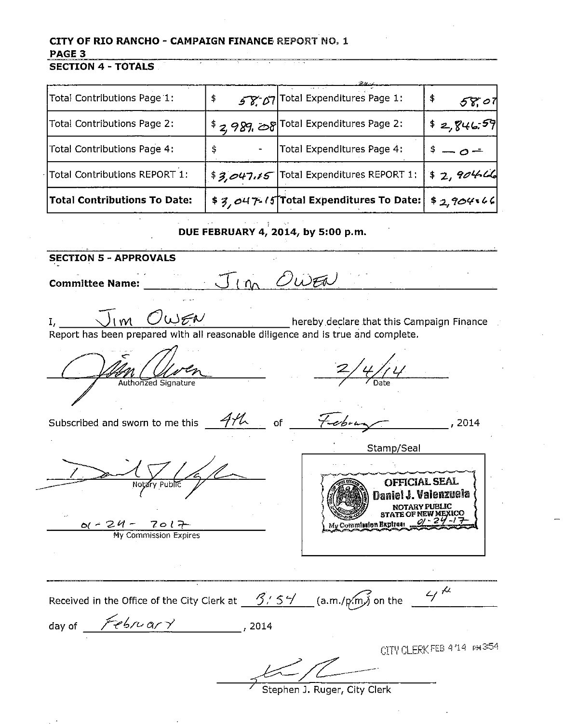## CITY OF RIO RANCHO - CAMPAIGN FINANCE REPORT NO. 1 PAGE 3

**SECTION 4 - TOTALS** 

|                                     | - 22 H J                                              |                     |
|-------------------------------------|-------------------------------------------------------|---------------------|
| Total Contributions Page 1:         | $58 - 67$ Total Expenditures Page 1:                  | 58.07               |
| Total Contributions Page 2:         | \$ 2, 989, 58 Total Expenditures Page 2:              | \$2,846.59          |
| Total Contributions Page 4:         | Total Expenditures Page 4:<br>\$                      | $\frac{1}{2} - 0$ – |
| Total Contributions REPORT 1:       | \$3,047,15 Total Expenditures REPORT 1:               | \$2,904.46          |
| <b>Total Contributions To Date:</b> | \$3,047-15 Total Expenditures To Date: $ $ \$2,904=44 |                     |

## DUE FEBRUARY 4, 2014, by 5:00 p.m.

**SECTION 5 - APPROVALS** Jim Owen **Committee Name:**  $J_{1}m$   $C\omega$ EN hereby declare that this Campaign Finance  $I_{\ell}$ Report has been prepared with all reasonable diligence and is true and complete. Authorized Signature Subscribed and sworn to me this  $-4\%$  of \_\_\_\_\_  $H$ - $e$ b- $u$  $, 2014$ Stamp/Seal **OFFICIAL SEAL** Notar y Public Daniel J. Valenzuela **NOTARY PUBLIC**  $-24 - 701$ <br>My Commission Expires My Commission Expires  $44$ Received in the Office of the City Clerk at  $\frac{\sqrt{3}/54}{\sqrt{3}}$  (a.m./p/m) on the day of  $\sqrt{7e^{6n}a}$  / CITY CLERK FEB 4'14 PM354 Stephen J. Ruger, City Clerk